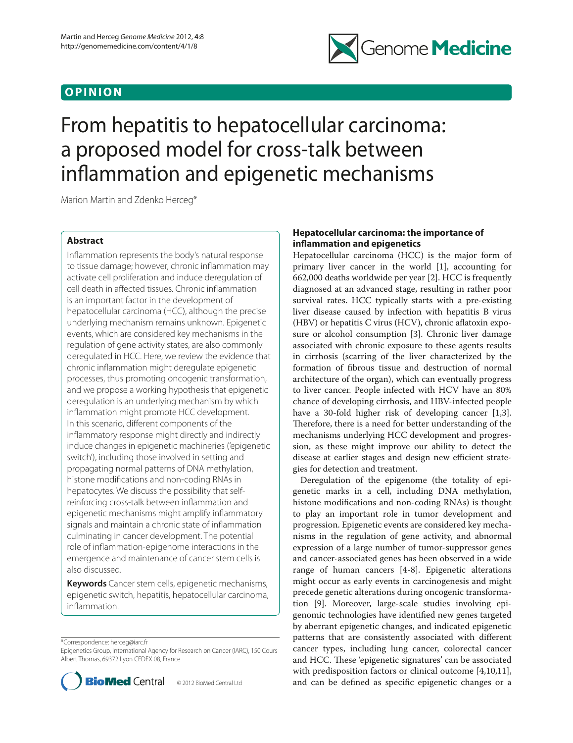## **OPINION**



# From hepatitis to hepatocellular carcinoma: a proposed model for cross-talk between inflammation and epigenetic mechanisms

Marion Martin and Zdenko Herceg\*

## **Abstract**

Inflammation represents the body's natural response to tissue damage; however, chronic inflammation may activate cell proliferation and induce deregulation of cell death in affected tissues. Chronic inflammation is an important factor in the development of hepatocellular carcinoma (HCC), although the precise underlying mechanism remains unknown. Epigenetic events, which are considered key mechanisms in the regulation of gene activity states, are also commonly deregulated in HCC. Here, we review the evidence that chronic inflammation might deregulate epigenetic processes, thus promoting oncogenic transformation, and we propose a working hypothesis that epigenetic deregulation is an underlying mechanism by which inflammation might promote HCC development. In this scenario, different components of the inflammatory response might directly and indirectly induce changes in epigenetic machineries ('epigenetic switch'), including those involved in setting and propagating normal patterns of DNA methylation, histone modifications and non-coding RNAs in hepatocytes. We discuss the possibility that selfreinforcing cross-talk between inflammation and epigenetic mechanisms might amplify inflammatory signals and maintain a chronic state of inflammation culminating in cancer development. The potential role of inflammation-epigenome interactions in the emergence and maintenance of cancer stem cells is also discussed.

**Keywords** Cancer stem cells, epigenetic mechanisms, epigenetic switch, hepatitis, hepatocellular carcinoma, inflammation.

\*Correspondence: herceg@iarc.fr

Epigenetics Group, International Agency for Research on Cancer (IARC), 150 Cours Albert Thomas, 69372 Lyon CEDEX 08, France



## **Hepatocellular carcinoma: the importance of inflammation and epigenetics**

Hepatocellular carcinoma (HCC) is the major form of primary liver cancer in the world [1], accounting for 662,000 deaths worldwide per year [2]. HCC is frequently diagnosed at an advanced stage, resulting in rather poor survival rates. HCC typically starts with a pre-existing liver disease caused by infection with hepatitis B virus (HBV) or hepatitis C virus (HCV), chronic aflatoxin exposure or alcohol consumption [3]. Chronic liver damage associated with chronic exposure to these agents results in cirrhosis (scarring of the liver characterized by the formation of fibrous tissue and destruction of normal architecture of the organ), which can eventually progress to liver cancer. People infected with HCV have an 80% chance of developing cirrhosis, and HBV-infected people have a 30-fold higher risk of developing cancer [1,3]. Therefore, there is a need for better understanding of the mechanisms underlying HCC development and progression, as these might improve our ability to detect the disease at earlier stages and design new efficient strategies for detection and treatment.

Deregulation of the epigenome (the totality of epigenetic marks in a cell, including DNA methylation, histone modifications and non-coding RNAs) is thought to play an important role in tumor development and progression. Epigenetic events are considered key mechanisms in the regulation of gene activity, and abnormal expression of a large number of tumor-suppressor genes and cancer-associated genes has been observed in a wide range of human cancers [4-8]. Epigenetic alterations might occur as early events in carcinogenesis and might precede genetic alterations during oncogenic transformation [9]. Moreover, large-scale studies involving epigenomic technologies have identified new genes targeted by aberrant epigenetic changes, and indicated epigenetic patterns that are consistently associated with different cancer types, including lung cancer, colorectal cancer and HCC. These 'epigenetic signatures' can be associated with predisposition factors or clinical outcome [4,10,11], and can be defined as specific epigenetic changes or a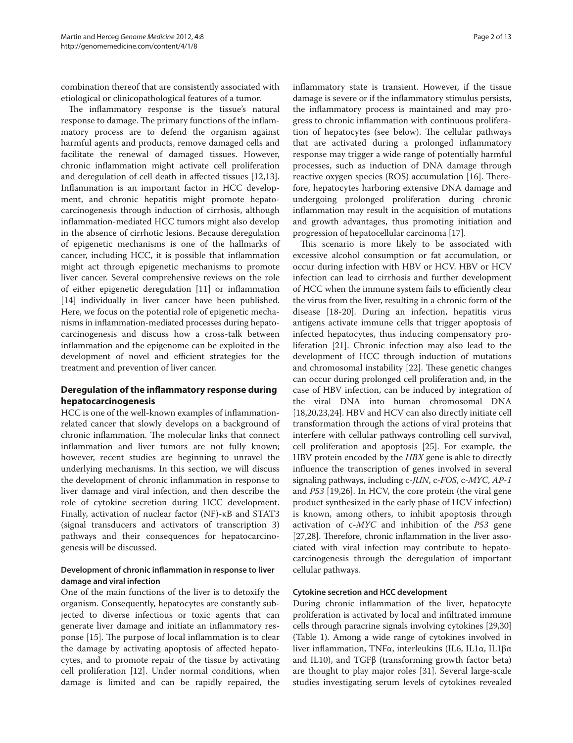combination thereof that are consistently associated with etiological or clinicopathological features of a tumor.

The inflammatory response is the tissue's natural response to damage. The primary functions of the inflammatory process are to defend the organism against harmful agents and products, remove damaged cells and facilitate the renewal of damaged tissues. However, chronic inflammation might activate cell proliferation and deregulation of cell death in affected tissues [12,13]. Inflammation is an important factor in HCC development, and chronic hepatitis might promote hepatocarcinogenesis through induction of cirrhosis, although inflammation-mediated HCC tumors might also develop in the absence of cirrhotic lesions. Because deregulation of epigenetic mechanisms is one of the hallmarks of cancer, including HCC, it is possible that inflammation might act through epigenetic mechanisms to promote liver cancer. Several comprehensive reviews on the role of either epigenetic deregulation [11] or inflammation [14] individually in liver cancer have been published. Here, we focus on the potential role of epigenetic mechanisms in inflammation-mediated processes during hepatocarcinogenesis and discuss how a cross-talk between inflammation and the epigenome can be exploited in the development of novel and efficient strategies for the treatment and prevention of liver cancer.

## **Deregulation of the inflammatory response during hepatocarcinogenesis**

HCC is one of the well-known examples of inflammationrelated cancer that slowly develops on a background of chronic inflammation. The molecular links that connect inflammation and liver tumors are not fully known; however, recent studies are beginning to unravel the underlying mechanisms. In this section, we will discuss the development of chronic inflammation in response to liver damage and viral infection, and then describe the role of cytokine secretion during HCC development. Finally, activation of nuclear factor (NF)-κB and STAT3 (signal transducers and activators of transcription 3) pathways and their consequences for hepatocarcinogenesis will be discussed.

## **Development of chronic inflammation in response to liver damage and viral infection**

One of the main functions of the liver is to detoxify the organism. Consequently, hepatocytes are constantly subjected to diverse infectious or toxic agents that can generate liver damage and initiate an inflammatory response [15]. The purpose of local inflammation is to clear the damage by activating apoptosis of affected hepatocytes, and to promote repair of the tissue by activating cell proliferation [12]. Under normal conditions, when damage is limited and can be rapidly repaired, the inflammatory state is transient. However, if the tissue damage is severe or if the inflammatory stimulus persists, the inflammatory process is maintained and may progress to chronic inflammation with continuous proliferation of hepatocytes (see below). The cellular pathways that are activated during a prolonged inflammatory response may trigger a wide range of potentially harmful processes, such as induction of DNA damage through reactive oxygen species (ROS) accumulation [16]. Therefore, hepatocytes harboring extensive DNA damage and undergoing prolonged proliferation during chronic inflammation may result in the acquisition of mutations and growth advantages, thus promoting initiation and progression of hepatocellular carcinoma [17].

This scenario is more likely to be associated with excessive alcohol consumption or fat accumulation, or occur during infection with HBV or HCV. HBV or HCV infection can lead to cirrhosis and further development of HCC when the immune system fails to efficiently clear the virus from the liver, resulting in a chronic form of the disease [18-20]. During an infection, hepatitis virus antigens activate immune cells that trigger apoptosis of infected hepatocytes, thus inducing compensatory proliferation [21]. Chronic infection may also lead to the development of HCC through induction of mutations and chromosomal instability [22]. These genetic changes can occur during prolonged cell proliferation and, in the case of HBV infection, can be induced by integration of the viral DNA into human chromosomal DNA [18,20,23,24]. HBV and HCV can also directly initiate cell transformation through the actions of viral proteins that interfere with cellular pathways controlling cell survival, cell proliferation and apoptosis [25]. For example, the HBV protein encoded by the *HBX* gene is able to directly influence the transcription of genes involved in several signaling pathways, including c*-JUN*, c*-FOS*, c*-MYC*, *AP-1*  and *P53* [19,26]. In HCV, the core protein (the viral gene product synthesized in the early phase of HCV infection) is known, among others, to inhibit apoptosis through activation of c*-MYC* and inhibition of the *P53* gene [27,28]. Therefore, chronic inflammation in the liver associated with viral infection may contribute to hepatocarcinogenesis through the deregulation of important cellular pathways.

#### **Cytokine secretion and HCC development**

During chronic inflammation of the liver, hepatocyte proliferation is activated by local and infiltrated immune cells through paracrine signals involving cytokines [29,30] (Table 1). Among a wide range of cytokines involved in liver inflammation, TNFα, interleukins (IL6, IL1α, IL1βα and IL10), and TGFβ (transforming growth factor beta) are thought to play major roles [31]. Several large-scale studies investigating serum levels of cytokines revealed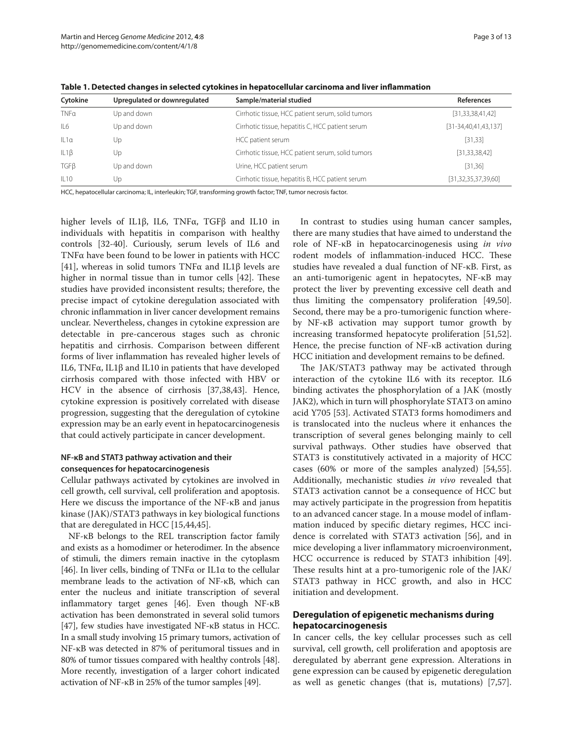| Cytokine    | Upregulated or downregulated | Sample/material studied                           | References               |
|-------------|------------------------------|---------------------------------------------------|--------------------------|
| TNFa        | Up and down                  | Cirrhotic tissue, HCC patient serum, solid tumors | [31,33,38,41,42]         |
| IL6         | Up and down                  | Cirrhotic tissue, hepatitis C, HCC patient serum  | $[31-34,40,41,43,137]$   |
| L1a         | Up                           | HCC patient serum                                 | [31, 33]                 |
| IL1B        | Up                           | Cirrhotic tissue, HCC patient serum, solid tumors | [31, 33, 38, 42]         |
| $TGF\beta$  | Up and down                  | Urine, HCC patient serum                          | [31, 36]                 |
| <b>IL10</b> | Up                           | Cirrhotic tissue, hepatitis B, HCC patient serum  | [31, 32, 35, 37, 39, 60] |

**Table 1. Detected changes in selected cytokines in hepatocellular carcinoma and liver inflammation**

HCC, hepatocellular carcinoma; IL, interleukin; TGF, transforming growth factor; TNF, tumor necrosis factor.

higher levels of IL1β, IL6, TNFα, TGFβ and IL10 in individuals with hepatitis in comparison with healthy controls [32-40]. Curiously, serum levels of IL6 and TNFα have been found to be lower in patients with HCC [41], whereas in solid tumors TNF $\alpha$  and IL1 $\beta$  levels are higher in normal tissue than in tumor cells [42]. These studies have provided inconsistent results; therefore, the precise impact of cytokine deregulation associated with chronic inflammation in liver cancer development remains unclear. Nevertheless, changes in cytokine expression are detectable in pre-cancerous stages such as chronic hepatitis and cirrhosis. Comparison between different forms of liver inflammation has revealed higher levels of IL6, TNFα, IL1β and IL10 in patients that have developed cirrhosis compared with those infected with HBV or HCV in the absence of cirrhosis [37,38,43]. Hence, cytokine expression is positively correlated with disease progression, suggesting that the deregulation of cytokine expression may be an early event in hepatocarcinogenesis that could actively participate in cancer development.

## **NF-κB and STAT3 pathway activation and their consequences for hepatocarcinogenesis**

Cellular pathways activated by cytokines are involved in cell growth, cell survival, cell proliferation and apoptosis. Here we discuss the importance of the NF-κB and janus kinase (JAK)/STAT3 pathways in key biological functions that are deregulated in HCC [15,44,45].

NF-κB belongs to the REL transcription factor family and exists as a homodimer or heterodimer. In the absence of stimuli, the dimers remain inactive in the cytoplasm [46]. In liver cells, binding of TNF $\alpha$  or IL1 $\alpha$  to the cellular membrane leads to the activation of NF-κB, which can enter the nucleus and initiate transcription of several inflammatory target genes [46]. Even though NF-κB activation has been demonstrated in several solid tumors [47], few studies have investigated NF-κB status in HCC. In a small study involving 15 primary tumors, activation of NF-κB was detected in 87% of peritumoral tissues and in 80% of tumor tissues compared with healthy controls [48]. More recently, investigation of a larger cohort indicated activation of NF-κB in 25% of the tumor samples [49].

In contrast to studies using human cancer samples, there are many studies that have aimed to understand the role of NF-κB in hepatocarcinogenesis using *in vivo* rodent models of inflammation-induced HCC. These studies have revealed a dual function of NF-κB. First, as an anti-tumorigenic agent in hepatocytes, NF-κB may protect the liver by preventing excessive cell death and thus limiting the compensatory proliferation [49,50]. Second, there may be a pro-tumorigenic function whereby NF-κB activation may support tumor growth by increasing transformed hepatocyte proliferation [51,52]. Hence, the precise function of NF-κB activation during HCC initiation and development remains to be defined.

The JAK/STAT3 pathway may be activated through interaction of the cytokine IL6 with its receptor. IL6 binding activates the phosphorylation of a JAK (mostly JAK2), which in turn will phosphorylate STAT3 on amino acid Y705 [53]. Activated STAT3 forms homodimers and is translocated into the nucleus where it enhances the transcription of several genes belonging mainly to cell survival pathways. Other studies have observed that STAT3 is constitutively activated in a majority of HCC cases (60% or more of the samples analyzed) [54,55]. Additionally, mechanistic studies *in vivo* revealed that STAT3 activation cannot be a consequence of HCC but may actively participate in the progression from hepatitis to an advanced cancer stage. In a mouse model of inflammation induced by specific dietary regimes, HCC incidence is correlated with STAT3 activation [56], and in mice developing a liver inflammatory microenvironment, HCC occurrence is reduced by STAT3 inhibition [49]. These results hint at a pro-tumorigenic role of the JAK/ STAT3 pathway in HCC growth, and also in HCC initiation and development.

## **Deregulation of epigenetic mechanisms during hepatocarcinogenesis**

In cancer cells, the key cellular processes such as cell survival, cell growth, cell proliferation and apoptosis are deregulated by aberrant gene expression. Alterations in gene expression can be caused by epigenetic deregulation as well as genetic changes (that is, mutations) [7,57].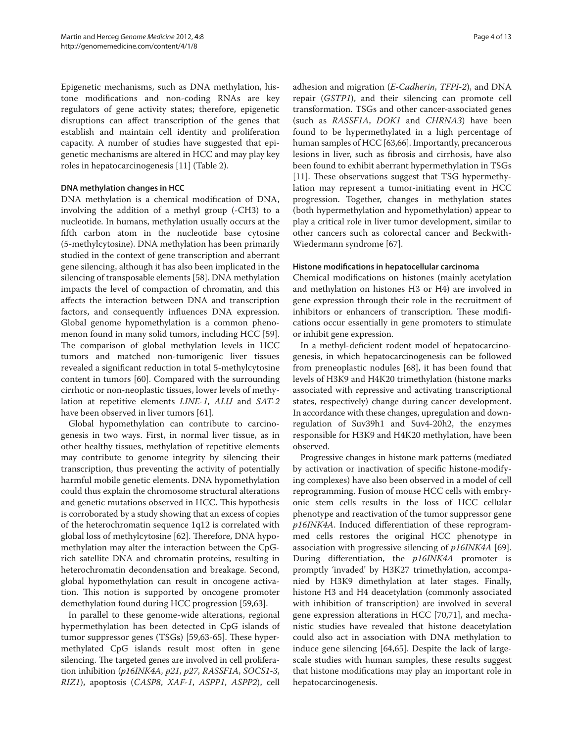Epigenetic mechanisms, such as DNA methylation, histone modifications and non-coding RNAs are key regulators of gene activity states; therefore, epigenetic disruptions can affect transcription of the genes that establish and maintain cell identity and proliferation capacity. A number of studies have suggested that epigenetic mechanisms are altered in HCC and may play key roles in hepatocarcinogenesis [11] (Table 2).

#### **DNA methylation changes in HCC**

DNA methylation is a chemical modification of DNA, involving the addition of a methyl group (-CH3) to a nucleotide. In humans, methylation usually occurs at the fifth carbon atom in the nucleotide base cytosine (5-methylcytosine). DNA methylation has been primarily studied in the context of gene transcription and aberrant gene silencing, although it has also been implicated in the silencing of transposable elements [58]. DNA methylation impacts the level of compaction of chromatin, and this affects the interaction between DNA and transcription factors, and consequently influences DNA expression. Global genome hypomethylation is a common phenomenon found in many solid tumors, including HCC [59]. The comparison of global methylation levels in HCC tumors and matched non-tumorigenic liver tissues revealed a significant reduction in total 5-methylcytosine content in tumors [60]. Compared with the surrounding cirrhotic or non-neoplastic tissues, lower levels of methylation at repetitive elements *LINE-1*, *ALU* and *SAT-2* have been observed in liver tumors [61].

Global hypomethylation can contribute to carcinogenesis in two ways. First, in normal liver tissue, as in other healthy tissues, methylation of repetitive elements may contribute to genome integrity by silencing their transcription, thus preventing the activity of potentially harmful mobile genetic elements. DNA hypomethylation could thus explain the chromosome structural alterations and genetic mutations observed in HCC. This hypothesis is corroborated by a study showing that an excess of copies of the heterochromatin sequence 1q12 is correlated with global loss of methylcytosine [62]. Therefore, DNA hypomethylation may alter the interaction between the CpGrich satellite DNA and chromatin proteins, resulting in heterochromatin decondensation and breakage. Second, global hypomethylation can result in oncogene activation. This notion is supported by oncogene promoter demethylation found during HCC progression [59,63].

In parallel to these genome-wide alterations, regional hypermethylation has been detected in CpG islands of tumor suppressor genes (TSGs) [59,63-65]. These hypermethylated CpG islands result most often in gene silencing. The targeted genes are involved in cell proliferation inhibition (*p16INK4A*, *p21*, *p27*, *RASSF1A*, *SOCS1-3*, *RIZ1*), apoptosis (*CASP8*, *XAF-1*, *ASPP1*, *ASPP2*), cell adhesion and migration (*E-Cadherin*, *TFPI-2*), and DNA repair (*GSTP1*), and their silencing can promote cell transformation. TSGs and other cancer-associated genes (such as *RASSF1A*, *DOK1* and *CHRNA3*) have been found to be hypermethylated in a high percentage of human samples of HCC [63,66]. Importantly, precancerous lesions in liver, such as fibrosis and cirrhosis, have also been found to exhibit aberrant hypermethylation in TSGs [11]. These observations suggest that TSG hypermethylation may represent a tumor-initiating event in HCC progression. Together, changes in methylation states (both hypermethylation and hypomethylation) appear to play a critical role in liver tumor development, similar to other cancers such as colorectal cancer and Beckwith-Wiedermann syndrome [67].

#### **Histone modifications in hepatocellular carcinoma**

Chemical modifications on histones (mainly acetylation and methylation on histones H3 or H4) are involved in gene expression through their role in the recruitment of inhibitors or enhancers of transcription. These modifications occur essentially in gene promoters to stimulate or inhibit gene expression.

In a methyl-deficient rodent model of hepatocarcinogenesis, in which hepatocarcinogenesis can be followed from preneoplastic nodules [68], it has been found that levels of H3K9 and H4K20 trimethylation (histone marks associated with repressive and activating transcriptional states, respectively) change during cancer development. In accordance with these changes, upregulation and downregulation of Suv39h1 and Suv4-20h2, the enzymes responsible for H3K9 and H4K20 methylation, have been observed.

Progressive changes in histone mark patterns (mediated by activation or inactivation of specific histone-modifying complexes) have also been observed in a model of cell reprogramming. Fusion of mouse HCC cells with embryonic stem cells results in the loss of HCC cellular phenotype and reactivation of the tumor suppressor gene *p16INK4A*. Induced differentiation of these reprogrammed cells restores the original HCC phenotype in association with progressive silencing of *p16INK4A* [69]. During differentiation, the *p16INK4A* promoter is promptly 'invaded' by H3K27 trimethylation, accompanied by H3K9 dimethylation at later stages. Finally, histone H3 and H4 deacetylation (commonly associated with inhibition of transcription) are involved in several gene expression alterations in HCC [70,71], and mechanistic studies have revealed that histone deacetylation could also act in association with DNA methylation to induce gene silencing [64,65]. Despite the lack of largescale studies with human samples, these results suggest that histone modifications may play an important role in hepatocarcinogenesis.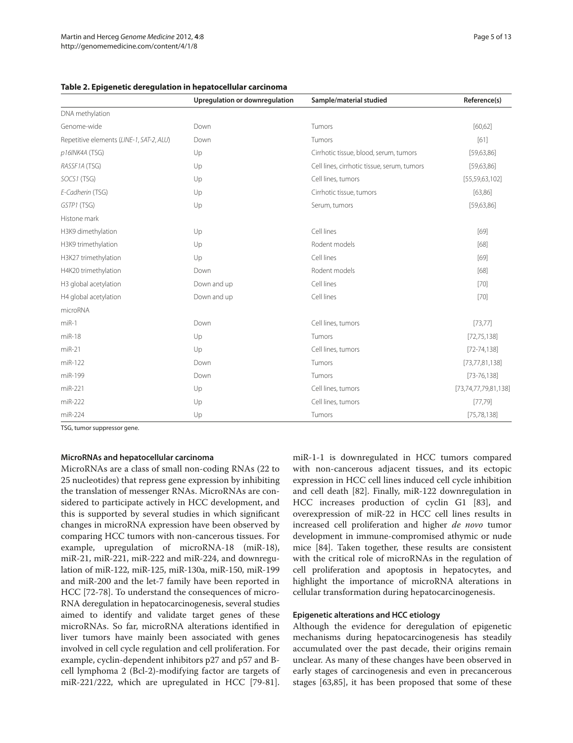|                                          | Upregulation or downregulation | Sample/material studied                     | Reference(s)              |
|------------------------------------------|--------------------------------|---------------------------------------------|---------------------------|
| DNA methylation                          |                                |                                             |                           |
| Genome-wide                              | Down                           | Tumors                                      | [60, 62]                  |
| Repetitive elements (LINE-1, SAT-2, ALU) | Down                           | Tumors                                      | [61]                      |
| p16INK4A (TSG)                           | Up                             | Cirrhotic tissue, blood, serum, tumors      | [59, 63, 86]              |
| RASSF1A (TSG)                            | Up                             | Cell lines, cirrhotic tissue, serum, tumors | [59, 63, 86]              |
| SOCS1 (TSG)                              | Up                             | Cell lines, tumors                          | [55, 59, 63, 102]         |
| E-Cadherin (TSG)                         | Up                             | Cirrhotic tissue, tumors                    | [63, 86]                  |
| GSTP1 (TSG)                              | Up                             | Serum, tumors                               | [59, 63, 86]              |
| Histone mark                             |                                |                                             |                           |
| H3K9 dimethylation                       | Up                             | Cell lines                                  | $[69]$                    |
| H3K9 trimethylation                      | Up                             | Rodent models                               | [68]                      |
| H3K27 trimethylation                     | Up                             | Cell lines                                  | $[69]$                    |
| H4K20 trimethylation                     | Down                           | Rodent models                               | [68]                      |
| H3 global acetylation                    | Down and up                    | Cell lines                                  | $[70]$                    |
| H4 global acetylation                    | Down and up                    | Cell lines                                  | $[70]$                    |
| microRNA                                 |                                |                                             |                           |
| $miR-1$                                  | Down                           | Cell lines, tumors                          | [73, 77]                  |
| $miR-18$                                 | Up                             | Tumors                                      | [72, 75, 138]             |
| $miR-21$                                 | Up                             | Cell lines, tumors                          | $[72 - 74, 138]$          |
| miR-122                                  | Down                           | Tumors                                      | [73, 77, 81, 138]         |
| miR-199                                  | Down                           | Tumors                                      | $[73 - 76, 138]$          |
| miR-221                                  | Up                             | Cell lines, tumors                          | [73, 74, 77, 79, 81, 138] |
| miR-222                                  | Up                             | Cell lines, tumors                          | [77, 79]                  |
| miR-224                                  | Up                             | Tumors                                      | [75, 78, 138]             |

TSG, tumor suppressor gene.

#### **MicroRNAs and hepatocellular carcinoma**

MicroRNAs are a class of small non-coding RNAs (22 to 25 nucleotides) that repress gene expression by inhibiting the translation of messenger RNAs. MicroRNAs are considered to participate actively in HCC development, and this is supported by several studies in which significant changes in microRNA expression have been observed by comparing HCC tumors with non-cancerous tissues. For example, upregulation of microRNA-18 (miR-18), miR-21, miR-221, miR-222 and miR-224, and downregulation of miR-122, miR-125, miR-130a, miR-150, miR-199 and miR-200 and the let-7 family have been reported in HCC [72-78]. To understand the consequences of micro-RNA deregulation in hepatocarcinogenesis, several studies aimed to identify and validate target genes of these microRNAs. So far, microRNA alterations identified in liver tumors have mainly been associated with genes involved in cell cycle regulation and cell proliferation. For example, cyclin-dependent inhibitors p27 and p57 and Bcell lymphoma 2 (Bcl-2)-modifying factor are targets of miR-221/222, which are upregulated in HCC [79-81].

miR-1-1 is downregulated in HCC tumors compared with non-cancerous adjacent tissues, and its ectopic expression in HCC cell lines induced cell cycle inhibition and cell death [82]. Finally, miR-122 downregulation in HCC increases production of cyclin G1 [83], and overexpression of miR-22 in HCC cell lines results in increased cell proliferation and higher *de novo* tumor development in immune-compromised athymic or nude mice [84]. Taken together, these results are consistent with the critical role of microRNAs in the regulation of cell proliferation and apoptosis in hepatocytes, and highlight the importance of microRNA alterations in cellular transformation during hepatocarcinogenesis.

#### **Epigenetic alterations and HCC etiology**

Although the evidence for deregulation of epigenetic mechanisms during hepatocarcinogenesis has steadily accumulated over the past decade, their origins remain unclear. As many of these changes have been observed in early stages of carcinogenesis and even in precancerous stages [63,85], it has been proposed that some of these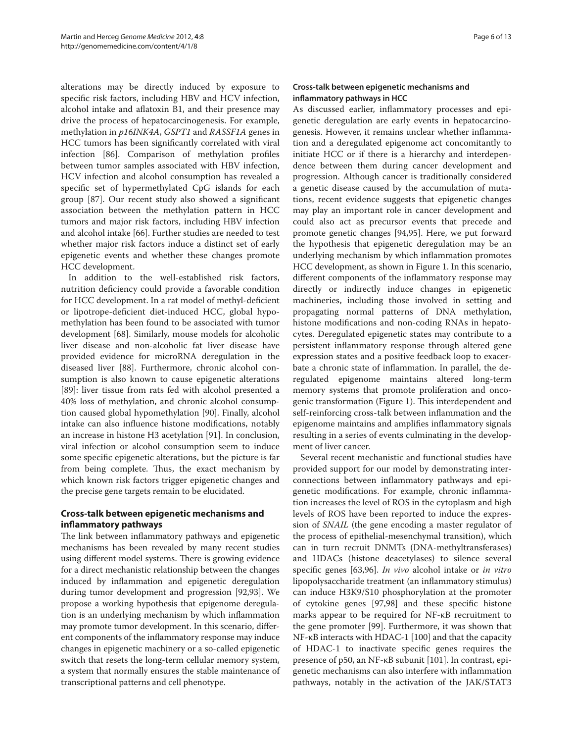alterations may be directly induced by exposure to specific risk factors, including HBV and HCV infection, alcohol intake and aflatoxin B1, and their presence may drive the process of hepatocarcinogenesis. For example, methylation in *p16INK4A*, *GSPT1* and *RASSF1A* genes in HCC tumors has been significantly correlated with viral infection [86]. Comparison of methylation profiles between tumor samples associated with HBV infection, HCV infection and alcohol consumption has revealed a specific set of hypermethylated CpG islands for each group [87]. Our recent study also showed a significant association between the methylation pattern in HCC tumors and major risk factors, including HBV infection and alcohol intake [66]. Further studies are needed to test whether major risk factors induce a distinct set of early epigenetic events and whether these changes promote HCC development.

In addition to the well-established risk factors, nutrition deficiency could provide a favorable condition for HCC development. In a rat model of methyl-deficient or lipotrope-deficient diet-induced HCC, global hypomethylation has been found to be associated with tumor development [68]. Similarly, mouse models for alcoholic liver disease and non-alcoholic fat liver disease have provided evidence for microRNA deregulation in the diseased liver [88]. Furthermore, chronic alcohol consumption is also known to cause epigenetic alterations [89]: liver tissue from rats fed with alcohol presented a 40% loss of methylation, and chronic alcohol consumption caused global hypomethylation [90]. Finally, alcohol intake can also influence histone modifications, notably an increase in histone H3 acetylation [91]. In conclusion, viral infection or alcohol consumption seem to induce some specific epigenetic alterations, but the picture is far from being complete. Thus, the exact mechanism by which known risk factors trigger epigenetic changes and the precise gene targets remain to be elucidated.

## **Cross-talk between epigenetic mechanisms and inflammatory pathways**

The link between inflammatory pathways and epigenetic mechanisms has been revealed by many recent studies using different model systems. There is growing evidence for a direct mechanistic relationship between the changes induced by inflammation and epigenetic deregulation during tumor development and progression [92,93]. We propose a working hypothesis that epigenome deregulation is an underlying mechanism by which inflammation may promote tumor development. In this scenario, different components of the inflammatory response may induce changes in epigenetic machinery or a so-called epigenetic switch that resets the long-term cellular memory system, a system that normally ensures the stable maintenance of transcriptional patterns and cell phenotype.

## **Cross-talk between epigenetic mechanisms and inflammatory pathways in HCC**

As discussed earlier, inflammatory processes and epigenetic deregulation are early events in hepatocarcinogenesis. However, it remains unclear whether inflammation and a deregulated epigenome act concomitantly to initiate HCC or if there is a hierarchy and interdependence between them during cancer development and progression. Although cancer is traditionally considered a genetic disease caused by the accumulation of mutations, recent evidence suggests that epigenetic changes may play an important role in cancer development and could also act as precursor events that precede and promote genetic changes [94,95]. Here, we put forward the hypothesis that epigenetic deregulation may be an underlying mechanism by which inflammation promotes HCC development, as shown in Figure 1. In this scenario, different components of the inflammatory response may directly or indirectly induce changes in epigenetic machineries, including those involved in setting and propagating normal patterns of DNA methylation, histone modifications and non-coding RNAs in hepatocytes. Deregulated epigenetic states may contribute to a persistent inflammatory response through altered gene expression states and a positive feedback loop to exacerbate a chronic state of inflammation. In parallel, the deregulated epigenome maintains altered long-term memory systems that promote proliferation and oncogenic transformation (Figure 1). This interdependent and self-reinforcing cross-talk between inflammation and the epigenome maintains and amplifies inflammatory signals resulting in a series of events culminating in the development of liver cancer.

Several recent mechanistic and functional studies have provided support for our model by demonstrating interconnections between inflammatory pathways and epigenetic modifications. For example, chronic inflammation increases the level of ROS in the cytoplasm and high levels of ROS have been reported to induce the expression of *SNAIL* (the gene encoding a master regulator of the process of epithelial-mesenchymal transition), which can in turn recruit DNMTs (DNA-methyltransferases) and HDACs (histone deacetylases) to silence several specific genes [63,96]. *In vivo* alcohol intake or *in vitro* lipopolysaccharide treatment (an inflammatory stimulus) can induce H3K9/S10 phosphorylation at the promoter of cytokine genes [97,98] and these specific histone marks appear to be required for NF-κB recruitment to the gene promoter [99]. Furthermore, it was shown that NF-κB interacts with HDAC-1 [100] and that the capacity of HDAC-1 to inactivate specific genes requires the presence of p50, an NF-κB subunit [101]. In contrast, epigenetic mechanisms can also interfere with inflammation pathways, notably in the activation of the JAK/STAT3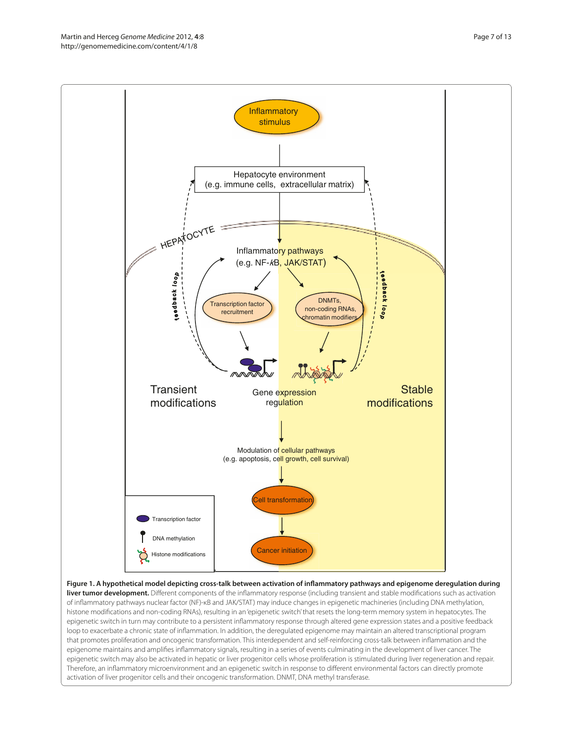

Figure 1. A hypothetical model depicting cross-talk between activation of inflammatory pathways and epigenome deregulation during liver tumor development. Different components of the inflammatory response (including transient and stable modifications such as activation of inflammatory pathways nuclear factor (NF)-κB and JAK/STAT) may induce changes in epigenetic machineries (including DNA methylation, histone modifications and non-coding RNAs), resulting in an 'epigenetic switch' that resets the long-term memory system in hepatocytes. The epigenetic switch in turn may contribute to a persistent inflammatory response through altered gene expression states and a positive feedback loop to exacerbate a chronic state of inflammation. In addition, the deregulated epigenome may maintain an altered transcriptional program that promotes proliferation and oncogenic transformation. This interdependent and self-reinforcing cross-talk between inflammation and the epigenome maintains and amplifies inflammatory signals, resulting in a series of events culminating in the development of liver cancer. The epigenetic switch may also be activated in hepatic or liver progenitor cells whose proliferation is stimulated during liver regeneration and repair. Therefore, an inflammatory microenvironment and an epigenetic switch in response to different environmental factors can directly promote activation of liver progenitor cells and their oncogenic transformation. DNMT, DNA methyl transferase.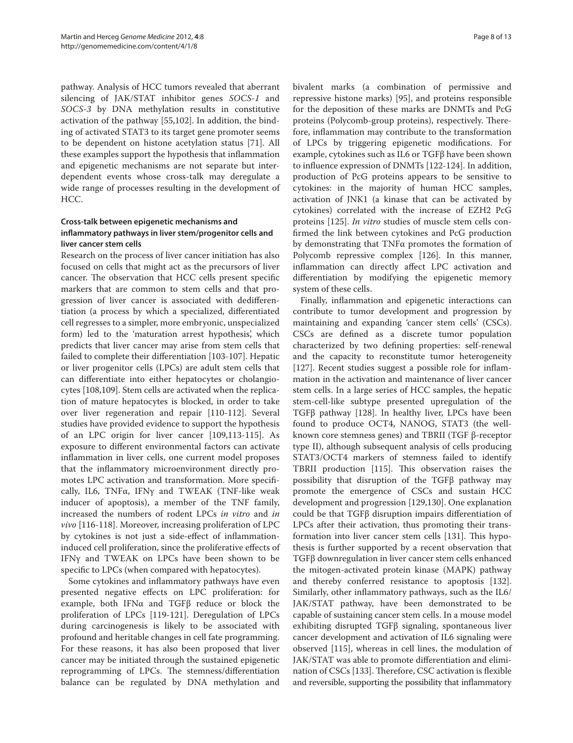pathway. Analysis of HCC tumors revealed that aberrant silencing of JAK/STAT inhibitor genes *SOCS-1* and *SOCS-3* by DNA methylation results in constitutive activation of the pathway [55,102]. In addition, the binding of activated STAT3 to its target gene promoter seems to be dependent on histone acetylation status [71]. All these examples support the hypothesis that inflammation and epigenetic mechanisms are not separate but interdependent events whose cross-talk may deregulate a wide range of processes resulting in the development of HCC.

### **Cross-talk between epigenetic mechanisms and inflammatory pathways in liver stem/progenitor cells and liver cancer stem cells**

Research on the process of liver cancer initiation has also focused on cells that might act as the precursors of liver cancer. The observation that HCC cells present specific markers that are common to stem cells and that progression of liver cancer is associated with dedifferentiation (a process by which a specialized, differentiated cell regresses to a simpler, more embryonic, unspecialized form) led to the 'maturation arrest hypothesis', which predicts that liver cancer may arise from stem cells that failed to complete their differentiation [103-107]. Hepatic or liver progenitor cells (LPCs) are adult stem cells that can differentiate into either hepatocytes or cholangiocytes [108,109]. Stem cells are activated when the replication of mature hepatocytes is blocked, in order to take over liver regeneration and repair [110-112]. Several studies have provided evidence to support the hypothesis of an LPC origin for liver cancer [109,113-115]. As exposure to different environmental factors can activate inflammation in liver cells, one current model proposes that the inflammatory microenvironment directly promotes LPC activation and transformation. More specifically, IL6, TNFα, IFNγ and TWEAK (TNF-like weak inducer of apoptosis), a member of the TNF family, increased the numbers of rodent LPCs *in vitro* and *in vivo* [116-118]. Moreover, increasing proliferation of LPC by cytokines is not just a side-effect of inflammationinduced cell proliferation, since the proliferative effects of IFNγ and TWEAK on LPCs have been shown to be specific to LPCs (when compared with hepatocytes).

Some cytokines and inflammatory pathways have even presented negative effects on LPC proliferation: for example, both IFNα and TGFβ reduce or block the proliferation of LPCs [119-121]. Deregulation of LPCs during carcinogenesis is likely to be associated with profound and heritable changes in cell fate programming. For these reasons, it has also been proposed that liver cancer may be initiated through the sustained epigenetic reprogramming of LPCs. The stemness/differentiation balance can be regulated by DNA methylation and bivalent marks (a combination of permissive and repressive histone marks) [95], and proteins responsible for the deposition of these marks are DNMTs and PcG proteins (Polycomb-group proteins), respectively. Therefore, inflammation may contribute to the transformation of LPCs by triggering epigenetic modifications. For example, cytokines such as IL6 or TGFβ have been shown to influence expression of DNMTs [122-124]. In addition, production of PcG proteins appears to be sensitive to cytokines: in the majority of human HCC samples, activation of JNK1 (a kinase that can be activated by cytokines) correlated with the increase of EZH2 PcG proteins [125]. *In vitro* studies of muscle stem cells confirmed the link between cytokines and PcG production by demonstrating that TNFα promotes the formation of Polycomb repressive complex [126]. In this manner, inflammation can directly affect LPC activation and differentiation by modifying the epigenetic memory system of these cells.

Finally, inflammation and epigenetic interactions can contribute to tumor development and progression by maintaining and expanding 'cancer stem cells' (CSCs). CSCs are defined as a discrete tumor population characterized by two defining properties: self-renewal and the capacity to reconstitute tumor heterogeneity [127]. Recent studies suggest a possible role for inflammation in the activation and maintenance of liver cancer stem cells. In a large series of HCC samples, the hepatic stem-cell-like subtype presented upregulation of the TGFβ pathway [128]. In healthy liver, LPCs have been found to produce OCT4, NANOG, STAT3 (the wellknown core stemness genes) and TBRII (TGF β-receptor type II), although subsequent analysis of cells producing STAT3/OCT4 markers of stemness failed to identify TBRII production [115]. This observation raises the possibility that disruption of the TGFβ pathway may promote the emergence of CSCs and sustain HCC development and progression [129,130]. One explanation could be that TGFβ disruption impairs differentiation of LPCs after their activation, thus promoting their transformation into liver cancer stem cells [131]. This hypothesis is further supported by a recent observation that TGFβ downregulation in liver cancer stem cells enhanced the mitogen-activated protein kinase (MAPK) pathway and thereby conferred resistance to apoptosis [132]. Similarly, other inflammatory pathways, such as the IL6/ JAK/STAT pathway, have been demonstrated to be capable of sustaining cancer stem cells. In a mouse model exhibiting disrupted TGFβ signaling, spontaneous liver cancer development and activation of IL6 signaling were observed [115], whereas in cell lines, the modulation of JAK/STAT was able to promote differentiation and elimination of CSCs [133]. Therefore, CSC activation is flexible and reversible, supporting the possibility that inflammatory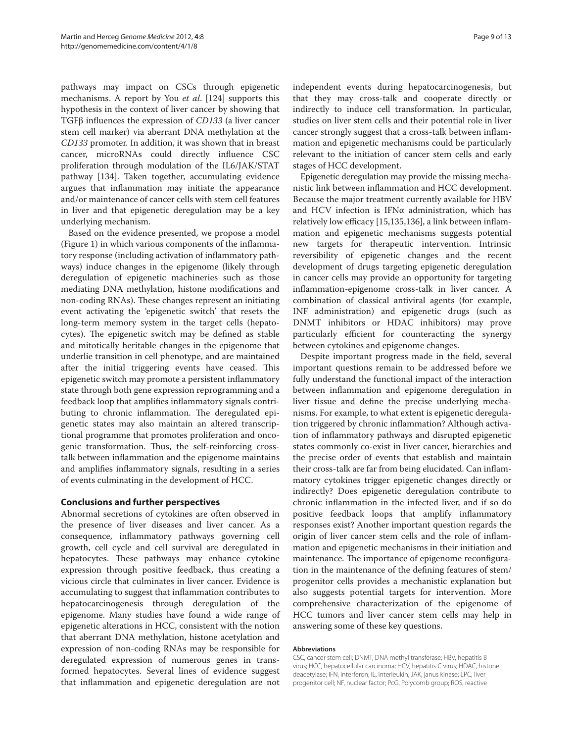pathways may impact on CSCs through epigenetic mechanisms. A report by You *et al*. [124] supports this hypothesis in the context of liver cancer by showing that TGFβ influences the expression of *CD133* (a liver cancer stem cell marker) via aberrant DNA methylation at the *CD133* promoter. In addition, it was shown that in breast cancer, microRNAs could directly influence CSC proliferation through modulation of the IL6/JAK/STAT pathway [134]. Taken together, accumulating evidence argues that inflammation may initiate the appearance and/or maintenance of cancer cells with stem cell features in liver and that epigenetic deregulation may be a key underlying mechanism.

Based on the evidence presented, we propose a model (Figure 1) in which various components of the inflammatory response (including activation of inflammatory pathways) induce changes in the epigenome (likely through deregulation of epigenetic machineries such as those mediating DNA methylation, histone modifications and non-coding RNAs). These changes represent an initiating event activating the 'epigenetic switch' that resets the long-term memory system in the target cells (hepatocytes). The epigenetic switch may be defined as stable and mitotically heritable changes in the epigenome that underlie transition in cell phenotype, and are maintained after the initial triggering events have ceased. This epigenetic switch may promote a persistent inflammatory state through both gene expression reprogramming and a feedback loop that amplifies inflammatory signals contributing to chronic inflammation. The deregulated epigenetic states may also maintain an altered transcriptional programme that promotes proliferation and oncogenic transformation. Thus, the self-reinforcing crosstalk between inflammation and the epigenome maintains and amplifies inflammatory signals, resulting in a series of events culminating in the development of HCC.

#### **Conclusions and further perspectives**

Abnormal secretions of cytokines are often observed in the presence of liver diseases and liver cancer. As a consequence, inflammatory pathways governing cell growth, cell cycle and cell survival are deregulated in hepatocytes. These pathways may enhance cytokine expression through positive feedback, thus creating a vicious circle that culminates in liver cancer. Evidence is accumulating to suggest that inflammation contributes to hepatocarcinogenesis through deregulation of the epigenome. Many studies have found a wide range of epigenetic alterations in HCC, consistent with the notion that aberrant DNA methylation, histone acetylation and expression of non-coding RNAs may be responsible for deregulated expression of numerous genes in transformed hepatocytes. Several lines of evidence suggest that inflammation and epigenetic deregulation are not independent events during hepatocarcinogenesis, but that they may cross-talk and cooperate directly or indirectly to induce cell transformation. In particular, studies on liver stem cells and their potential role in liver cancer strongly suggest that a cross-talk between inflammation and epigenetic mechanisms could be particularly relevant to the initiation of cancer stem cells and early stages of HCC development.

Epigenetic deregulation may provide the missing mechanistic link between inflammation and HCC development. Because the major treatment currently available for HBV and HCV infection is IFNα administration, which has relatively low efficacy [15,135,136], a link between inflammation and epigenetic mechanisms suggests potential new targets for therapeutic intervention. Intrinsic reversibility of epigenetic changes and the recent development of drugs targeting epigenetic deregulation in cancer cells may provide an opportunity for targeting inflammation-epigenome cross-talk in liver cancer. A combination of classical antiviral agents (for example, INF administration) and epigenetic drugs (such as DNMT inhibitors or HDAC inhibitors) may prove particularly efficient for counteracting the synergy between cytokines and epigenome changes.

Despite important progress made in the field, several important questions remain to be addressed before we fully understand the functional impact of the interaction between inflammation and epigenome deregulation in liver tissue and define the precise underlying mechanisms. For example, to what extent is epigenetic deregulation triggered by chronic inflammation? Although activation of inflammatory pathways and disrupted epigenetic states commonly co-exist in liver cancer, hierarchies and the precise order of events that establish and maintain their cross-talk are far from being elucidated. Can inflammatory cytokines trigger epigenetic changes directly or indirectly? Does epigenetic deregulation contribute to chronic inflammation in the infected liver, and if so do positive feedback loops that amplify inflammatory responses exist? Another important question regards the origin of liver cancer stem cells and the role of inflammation and epigenetic mechanisms in their initiation and maintenance. The importance of epigenome reconfiguration in the maintenance of the defining features of stem/ progenitor cells provides a mechanistic explanation but also suggests potential targets for intervention. More comprehensive characterization of the epigenome of HCC tumors and liver cancer stem cells may help in answering some of these key questions.

#### **Abbreviations**

CSC, cancer stem cell; DNMT, DNA methyl transferase; HBV, hepatitis B virus; HCC, hepatocellular carcinoma; HCV, hepatitis C virus; HDAC, histone deacetylase; IFN, interferon; IL, interleukin; JAK, janus kinase; LPC, liver progenitor cell; NF, nuclear factor; PcG, Polycomb group; ROS, reactive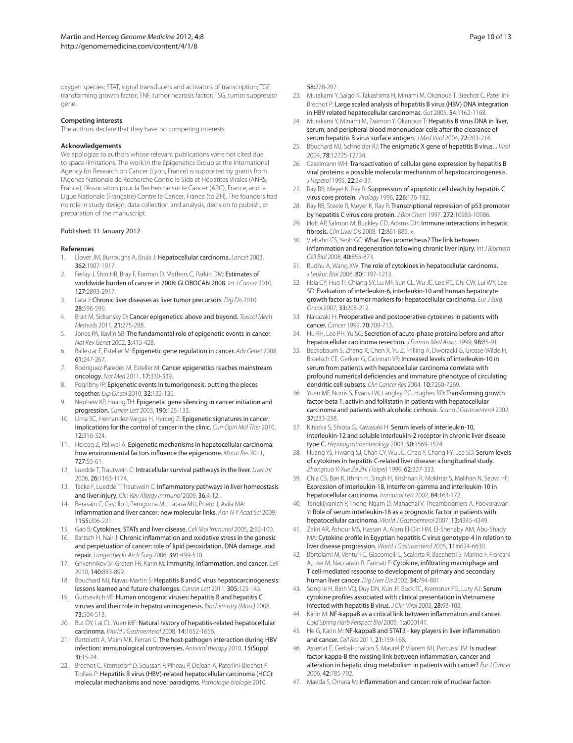oxygen species; STAT, signal transducers and activators of transcription; TGF, transforming growth factor; TNF, tumor necrosis factor; TSG, tumor suppressor gene.

#### **Competing interests**

The authors declare that they have no competing interests.

#### **Acknowledgements**

We apologize to authors whose relevant publications were not cited due to space limitations. The work in the Epigenetics Group at the International Agency for Research on Cancer (Lyon, France) is supported by grants from l'Agence Nationale de Recherche Contre le Sida et Hépatites Virales (ANRS, France), l'Association pour la Recherche sur le Cancer (ARC), France, and la Ligue Nationale (Française) Contre le Cancer, France (to ZH). The founders had no role in study design, data collection and analysis, decision to publish, or preparation of the manuscript.

#### Published: 31 January 2012

#### **References**

- 1. Llovet JM, Burroughs A, Bruix J: Hepatocellular carcinoma. *Lancet* 2003, 362:1907-1917.
- 2. Ferlay J, Shin HR, Bray F, Forman D, Mathers C, Parkin DM: Estimates of worldwide burden of cancer in 2008: GLOBOCAN 2008. *Int J Cancer* 2010, 127:2893-2917.
- 3. Lata J: Chronic liver diseases as liver tumor precursors. *Dig Dis* 2010, 28:596-599.
- 4. Brait M, Sidransky D: Cancer epigenetics: above and beyond. *Toxicol Mech Methods* 2011, 21:275-288.
- 5. Jones PA, Baylin SB: The fundamental role of epigenetic events in cancer. *Nat Rev Genet* 2002, 3:415-428.
- 6. Ballestar E, Esteller M: Epigenetic gene regulation in cancer. *Adv Genet* 2008, 61:247-267.
- 7. Rodriguez-Paredes M, Esteller M: Cancer epigenetics reaches mainstream oncology. *Nat Med* 2011, 17:330-339.
- 8. Pogribny IP: Epigenetic events in tumorigenesis: putting the pieces together. *Exp Oncol* 2010, 32:132-136.
- 9. Nephew KP, Huang TH: Epigenetic gene silencing in cancer initiation and progression. *Cancer Lett* 2003, 190:125-133.
- 10. Lima SC, Hernandez-Vargas H, Herceg Z: Epigenetic signatures in cancer: Implications for the control of cancer in the clinic. *Curr Opin Mol Ther* 2010, 12:316-324.
- 11. Herceg Z, Paliwal A: Epigenetic mechanisms in hepatocellular carcinoma: how environmental factors influence the epigenome. *Mutat Res* 2011, 727:55-61.
- 12. Luedde T, Trautwein C: Intracellular survival pathways in the liver. *Liver Int*  2006, 26:1163-1174.
- 13. Tacke F, Luedde T, Trautwein C: Inflammatory pathways in liver homeostasis and liver injury. *Clin Rev Allergy Immunol* 2009, 36:4-12.
- 14. Berasain C, Castillo J, Perugorria MJ, Latasa MU, Prieto J, Avila MA: Inflammation and liver cancer: new molecular links. *Ann N Y Acad Sci* 2009, 1155:206-221.
- 15. Gao B: Cytokines, STATs and liver disease. *Cell Mol Immunol* 2005, 2:92-100.
- 16. Bartsch H, Nair J: Chronic inflammation and oxidative stress in the genesis and perpetuation of cancer: role of lipid peroxidation, DNA damage, and repair. *Langenbecks Arch Surg* 2006, 391:499-510.
- 17. Grivennikov SI, Greten FR, Karin M: Immunity, inflammation, and cancer. *Cell*  2010, 140:883-899.
- 18. Bouchard MJ, Navas-Martin S: Hepatitis B and C virus hepatocarcinogenesis: lessons learned and future challenges. *Cancer Lett* 2011, 305:123-143.
- 19. Gurtsevitch VE: Human oncogenic viruses: hepatitis B and hepatitis C viruses and their role in hepatocarcinogenesis. *Biochemistry (Mosc)* 2008, 73:504-513.
- 20. But DY, Lai CL, Yuen MF: Natural history of hepatitis-related hepatocellular carcinoma. *World J Gastroenterol* 2008, 14:1652-1656.
- 21. Bertoletti A, Maini MK, Ferrari C: The host-pathogen interaction during HBV infection: immunological controversies. *Antiviral therapy* 2010, 15(Suppl 3):15-24.
- 22. Brechot C, Kremsdorf D, Soussan P, Pineau P, Dejean A, Paterlini-Brechot P, Tiollais P: Hepatitis B virus (HBV)-related hepatocellular carcinoma (HCC): molecular mechanisms and novel paradigms. *Pathologie-biologie* 2010,

58:278-287.

- 23. Murakami Y, Saigo K, Takashima H, Minami M, Okanoue T, Brechot C, Paterlini-Brechot P: Large scaled analysis of hepatitis B virus (HBV) DNA integration in HBV related hepatocellular carcinomas. *Gut* 2005, 54:1162-1168.
- 24. Murakami Y, Minami M, Daimon Y, Okanoue T: Hepatitis B virus DNA in liver, serum, and peripheral blood mononuclear cells after the clearance of serum hepatitis B virus surface antigen. *J Med Virol* 2004, 72:203-214.
- 25. Bouchard MJ, Schneider RJ: The enigmatic X gene of hepatitis B virus. *J Virol*  2004, 78:12725-12734.
- 26. Caselmann WH: Transactivation of cellular gene expression by hepatitis B viral proteins: a possible molecular mechanism of hepatocarcinogenesis. *J Hepatol* 1995, 22:34-37.
- 27. Ray RB, Meyer K, Ray R: Suppression of apoptotic cell death by hepatitis C virus core protein. *Virology* 1996, 226:176-182.
- 28. Ray RB, Steele R, Meyer K, Ray R: Transcriptional repression of p53 promoter by hepatitis C virus core protein. *J Biol Chem* 1997, 272:10983-10986.
- 29. Holt AP, Salmon M, Buckley CD, Adams DH: Immune interactions in hepatic fibrosis. *Clin Liver Dis* 2008, 12:861-882, x.
- 30. Viebahn CS, Yeoh GC: What fires prometheus? The link between inflammation and regeneration following chronic liver injury. *Int J Biochem Cell Biol* 2008, 40:855-873.
- 31. Budhu A, Wang XW: The role of cytokines in hepatocellular carcinoma. *J Leukoc Biol* 2006, 80:1197-1213.
- 32. Hsia CY, Huo TI, Chiang SY, Lu MF, Sun CL, Wu JC, Lee PC, Chi CW, Lui WY, Lee SD: Evaluation of interleukin-6, interleukin-10 and human hepatocyte growth factor as tumor markers for hepatocellular carcinoma. *Eur J Surg Oncol* 2007, 33:208-212.
- 33. Nakazaki H: Preoperative and postoperative cytokines in patients with cancer. *Cancer* 1992, 70:709-713.
- 34. Hu RH, Lee PH, Yu SC: Secretion of acute-phase proteins before and after hepatocellular carcinoma resection. *J Formos Med Assoc* 1999, 98:85-91.
- 35. Beckebaum S, Zhang X, Chen X, Yu Z, Frilling A, Dworacki G, Grosse-Wilde H, Broelsch CE, Gerken G, Cicinnati VR: Increased levels of interleukin-10 in serum from patients with hepatocellular carcinoma correlate with profound numerical deficiencies and immature phenotype of circulating dendritic cell subsets. *Clin Cancer Res* 2004, 10:7260-7269.
- 36. Yuen MF, Norris S, Evans LW, Langley PG, Hughes RD: Transforming growth factor-beta 1, activin and follistatin in patients with hepatocellular carcinoma and patients with alcoholic cirrhosis. *Scand J Gastroenterol* 2002, 37:233-238.
- 37. Kitaoka S, Shiota G, Kawasaki H: Serum levels of interleukin-10, interleukin-12 and soluble interleukin-2 receptor in chronic liver disease type C. *Hepatogastroenterology* 2003, 50:1569-1574.
- 38. Huang YS, Hwang SJ, Chan CY, Wu JC, Chao Y, Chang FY, Lee SD: Serum levels of cytokines in hepatitis C-related liver disease: a longitudinal study. *Zhonghua Yi Xue Za Zhi (Taipei)* 1999, 62:327-333.
- 39. Chia CS, Ban K, Ithnin H, Singh H, Krishnan R, Mokhtar S, Malihan N, Seow HF: Expression of interleukin-18, interferon-gamma and interleukin-10 in hepatocellular carcinoma. *Immunol Lett* 2002, 84:163-172.
- 40. Tangkijvanich P, Thong-Ngam D, Mahachai V, Theamboonlers A, Poovorawan Y: Role of serum interleukin-18 as a prognostic factor in patients with hepatocellular carcinoma. *World J Gastroenterol* 2007, 13:4345-4349.
- 41. Zekri AR, Ashour MS, Hassan A, Alam El-Din HM, El-Shehaby AM, Abu-Shady MA: Cytokine profile in Egyptian hepatitis C virus genotype-4 in relation to liver disease progression. *World J Gastroenterol* 2005, 11:6624-6630.
- 42. Bortolami M, Venturi C, Giacomelli L, Scalerta R, Bacchetti S, Marino F, Floreani A, Lise M, Naccarato R, Farinati F: Cytokine, infiltrating macrophage and T cell-mediated response to development of primary and secondary human liver cancer. *Dig Liver Dis* 2002, 34:794-801.
- 43. Song le H, Binh VQ, Duy DN, Kun JF, Bock TC, Kremsner PG, Luty AJ: Serum cytokine profiles associated with clinical presentation in Vietnamese infected with hepatitis B virus. *J Clin Virol* 2003, 28:93-103.
- 44. Karin M: NF-kappaB as a critical link between inflammation and cancer. *Cold Spring Harb Perspect Biol* 2009, 1:a000141.
- 45. He G, Karin M: NF-kappaB and STAT3 key players in liver inflammation and cancer. *Cell Res* 2011, 21:159-168.
- 46. Assenat E, Gerbal-chaloin S, Maurel P, Vilarem MJ, Pascussi JM: Is nuclear factor kappa-B the missing link between inflammation, cancer and alteration in hepatic drug metabolism in patients with cancer? *Eur J Cancer*  2006, 42:785-792.
- 47. Maeda S, Omata M: Inflammation and cancer: role of nuclear factor-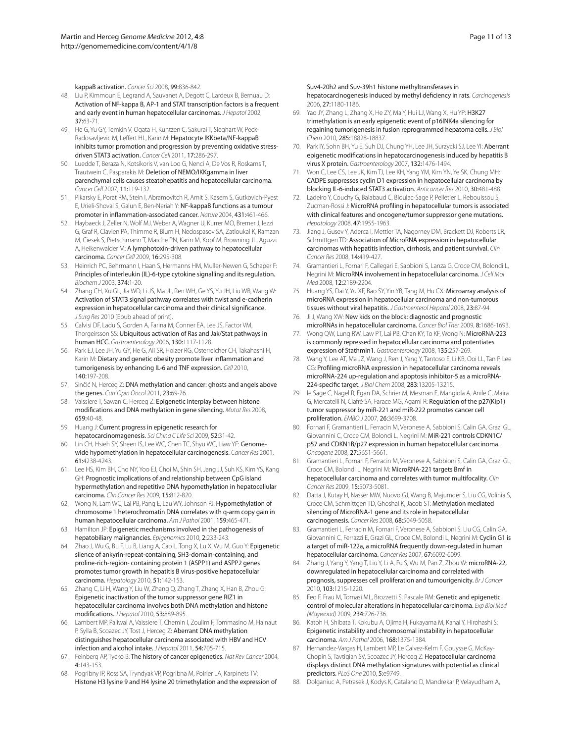kappaB activation. *Cancer Sci* 2008, 99:836-842.

- 48. Liu P, Kimmoun E, Legrand A, Sauvanet A, Degott C, Lardeux B, Bernuau D: Activation of NF-kappa B, AP-1 and STAT transcription factors is a frequent and early event in human hepatocellular carcinomas. *J Hepatol* 2002, 37:63-71.
- 49. He G, Yu GY, Temkin V, Ogata H, Kuntzen C, Sakurai T, Sieghart W, Peck-Radosavljevic M, Leffert HL, Karin M: Hepatocyte IKKbeta/NF-kappaB inhibits tumor promotion and progression by preventing oxidative stressdriven STAT3 activation. *Cancer Cell* 2011, 17:286-297.
- 50. Luedde T, Beraza N, Kotsikoris V, van Loo G, Nenci A, De Vos R, Roskams T, Trautwein C, Pasparakis M: Deletion of NEMO/IKKgamma in liver parenchymal cells causes steatohepatitis and hepatocellular carcinoma. *Cancer Cell* 2007, 11:119-132.
- 51. Pikarsky E, Porat RM, Stein I, Abramovitch R, Amit S, Kasem S, Gutkovich-Pyest E, Urieli-Shoval S, Galun E, Ben-Neriah Y: NF-kappaB functions as a tumour promoter in inflammation-associated cancer. *Nature* 2004, 431:461-466.
- 52. Haybaeck J, Zeller N, Wolf MJ, Weber A, Wagner U, Kurrer MO, Bremer J, Iezzi G, Graf R, Clavien PA, Thimme R, Blum H, Nedospasov SA, Zatloukal K, Ramzan M, Ciesek S, Pietschmann T, Marche PN, Karin M, Kopf M, Browning JL, Aguzzi A, Heikenwalder M: A lymphotoxin-driven pathway to hepatocellular carcinoma. *Cancer Cell* 2009, 16:295-308.
- 53. Heinrich PC, Behrmann I, Haan S, Hermanns HM, Muller-Newen G, Schaper F: Principles of interleukin (IL)-6-type cytokine signalling and its regulation. *Biochem J* 2003, 374:1-20.
- 54. Zhang CH, Xu GL, Jia WD, Li JS, Ma JL, Ren WH, Ge YS, Yu JH, Liu WB, Wang W: Activation of STAT3 signal pathway correlates with twist and e-cadherin expression in hepatocellular carcinoma and their clinical significance. *J Surg Res* 2010 [Epub ahead of print].
- 55. Calvisi DF, Ladu S, Gorden A, Farina M, Conner EA, Lee JS, Factor VM, Thorgeirsson SS: Ubiquitous activation of Ras and Jak/Stat pathways in human HCC. *Gastroenterology* 2006, 130:1117-1128.
- 56. Park EJ, Lee JH, Yu GY, He G, Ali SR, Holzer RG, Osterreicher CH, Takahashi H, Karin M: Dietary and genetic obesity promote liver inflammation and tumorigenesis by enhancing IL-6 and TNF expression. *Cell* 2010, 140:197-208.
- 57. Sinčić N, Herceg Z: DNA methylation and cancer: ghosts and angels above the genes. *Curr Opin Oncol* 2011, 23:69-76.
- 58. Vaissiere T, Sawan C, Herceg Z: Epigenetic interplay between histone modifications and DNA methylation in gene silencing. *Mutat Res* 2008, 659:40-48.
- 59. Huang J: Current progress in epigenetic research for hepatocarcinomagenesis. *Sci China C Life Sci* 2009, 52:31-42.
- 60. Lin CH, Hsieh SY, Sheen IS, Lee WC, Chen TC, Shyu WC, Liaw YF: Genomewide hypomethylation in hepatocellular carcinogenesis. *Cancer Res* 2001, 61:4238-4243.
- 61. Lee HS, Kim BH, Cho NY, Yoo EJ, Choi M, Shin SH, Jang JJ, Suh KS, Kim YS, Kang GH: Prognostic implications of and relationship between CpG island hypermethylation and repetitive DNA hypomethylation in hepatocellular carcinoma. *Clin Cancer Res* 2009, 15:812-820.
- 62. Wong N, Lam WC, Lai PB, Pang E, Lau WY, Johnson PJ: Hypomethylation of chromosome 1 heterochromatin DNA correlates with q-arm copy gain in human hepatocellular carcinoma. *Am J Pathol* 2001, 159:465-471.
- 63. Hamilton JP: Epigenetic mechanisms involved in the pathogenesis of hepatobiliary malignancies. *Epigenomics* 2010, 2:233-243.
- 64. Zhao J, Wu G, Bu F, Lu B, Liang A, Cao L, Tong X, Lu X, Wu M, Guo Y: Epigenetic silence of ankyrin-repeat-containing, SH3-domain-containing, and proline-rich-region- containing protein 1 (ASPP1) and ASPP2 genes promotes tumor growth in hepatitis B virus-positive hepatocellular carcinoma. *Hepatology* 2010, 51:142-153.
- 65. Zhang C, Li H, Wang Y, Liu W, Zhang Q, Zhang T, Zhang X, Han B, Zhou G: Epigenetic inactivation of the tumor suppressor gene RIZ1 in hepatocellular carcinoma involves both DNA methylation and histone modifications. *J Hepatol* 2010, 53:889-895.
- 66. Lambert MP, Paliwal A, Vaissiere T, Chemin I, Zoulim F, Tommasino M, Hainaut P, Sylla B, Scoazec JY, Tost J, Herceg Z: Aberrant DNA methylation distinguishes hepatocellular carcinoma associated with HBV and HCV infection and alcohol intake. *J Hepatol* 2011, 54:705-715.
- 67. Feinberg AP, Tycko B: The history of cancer epigenetics. *Nat Rev Cancer* 2004, 4:143-153.
- 68. Pogribny IP, Ross SA, Tryndyak VP, Pogribna M, Poirier LA, Karpinets TV: Histone H3 lysine 9 and H4 lysine 20 trimethylation and the expression of
- 69. Yao JY, Zhang L, Zhang X, He ZY, Ma Y, Hui LJ, Wang X, Hu YP: H3K27 trimethylation is an early epigenetic event of p16INK4a silencing for regaining tumorigenesis in fusion reprogrammed hepatoma cells. *J Biol Chem* 2010, 285:18828-18837.
- 70. Park IY, Sohn BH, Yu E, Suh DJ, Chung YH, Lee JH, Surzycki SJ, Lee YI: Aberrant epigenetic modifications in hepatocarcinogenesis induced by hepatitis B virus X protein. *Gastroenterology* 2007, 132:1476-1494.
- 71. Won C, Lee CS, Lee JK, Kim TJ, Lee KH, Yang YM, Kim YN, Ye SK, Chung MH: CADPE suppresses cyclin D1 expression in hepatocellular carcinoma by blocking IL-6-induced STAT3 activation. *Anticancer Res* 2010, 30:481-488.
- 72. Ladeiro Y, Couchy G, Balabaud C, Bioulac-Sage P, Pelletier L, Rebouissou S, Zucman-Rossi J: MicroRNA profiling in hepatocellular tumors is associated with clinical features and oncogene/tumor suppressor gene mutations. *Hepatology* 2008, 47:1955-1963.
- 73. Jiang J, Gusev Y, Aderca I, Mettler TA, Nagorney DM, Brackett DJ, Roberts LR, Schmittgen TD: Association of MicroRNA expression in hepatocellular carcinomas with hepatitis infection, cirrhosis, and patient survival. *Clin Cancer Res* 2008, 14:419-427.
- 74. Gramantieri L, Fornari F, Callegari E, Sabbioni S, Lanza G, Croce CM, Bolondi L, Negrini M: MicroRNA involvement in hepatocellular carcinoma. *J Cell Mol Med* 2008, 12:2189-2204.
- 75. Huang YS, Dai Y, Yu XF, Bao SY, Yin YB, Tang M, Hu CX: Microarray analysis of microRNA expression in hepatocellular carcinoma and non-tumorous tissues without viral hepatitis. *J Gastroenterol Hepatol* 2008, 23:87-94.
- 76. Ji J, Wang XW: New kids on the block: diagnostic and prognostic microRNAs in hepatocellular carcinoma. *Cancer Biol Ther* 2009, 8:1686-1693.
- 77. Wong QW, Lung RW, Law PT, Lai PB, Chan KY, To KF, Wong N: MicroRNA-223 is commonly repressed in hepatocellular carcinoma and potentiates expression of Stathmin1. *Gastroenterology* 2008, 135:257-269.
- Wang Y, Lee AT, Ma JZ, Wang J, Ren J, Yang Y, Tantoso E, Li KB, Ooi LL, Tan P, Lee CG: Profiling microRNA expression in hepatocellular carcinoma reveals microRNA-224 up-regulation and apoptosis inhibitor-5 as a microRNA-224-specific target. *J Biol Chem* 2008, 283:13205-13215.
- 79. le Sage C, Nagel R, Egan DA, Schrier M, Mesman E, Mangiola A, Anile C, Maira G, Mercatelli N, Ciafrè SA, Farace MG, Agami R: Regulation of the p27(Kip1) tumor suppressor by miR-221 and miR-222 promotes cancer cell proliferation. *EMBO J* 2007, 26:3699-3708.
- 80. Fornari F, Gramantieri L, Ferracin M, Veronese A, Sabbioni S, Calin GA, Grazi GL, Giovannini C, Croce CM, Bolondi L, Negrini M: MiR-221 controls CDKN1C/ p57 and CDKN1B/p27 expression in human hepatocellular carcinoma. *Oncogene* 2008, 27:5651-5661.
- 81. Gramantieri L, Fornari F, Ferracin M, Veronese A, Sabbioni S, Calin GA, Grazi GL, Croce CM, Bolondi L, Negrini M: MicroRNA-221 targets Bmf in hepatocellular carcinoma and correlates with tumor multifocality. *Clin Cancer Res* 2009, 15:5073-5081.
- 82. Datta J, Kutay H, Nasser MW, Nuovo GJ, Wang B, Majumder S, Liu CG, Volinia S, Croce CM, Schmittgen TD, Ghoshal K, Jacob ST: Methylation mediated silencing of MicroRNA-1 gene and its role in hepatocellular carcinogenesis. *Cancer Res* 2008, 68:5049-5058.
- 83. Gramantieri L, Ferracin M, Fornari F, Veronese A, Sabbioni S, Liu CG, Calin GA, Giovannini C, Ferrazzi E, Grazi GL, Croce CM, Bolondi L, Negrini M: Cyclin G1 is a target of miR-122a, a microRNA frequently down-regulated in human hepatocellular carcinoma. *Cancer Res* 2007, 67:6092-6099.
- 84. Zhang J, Yang Y, Yang T, Liu Y, Li A, Fu S, Wu M, Pan Z, Zhou W: microRNA-22, downregulated in hepatocellular carcinoma and correlated with prognosis, suppresses cell proliferation and tumourigenicity. *Br J Cancer*  2010, 103:1215-1220.
- 85. Feo F, Frau M, Tomasi ML, Brozzetti S, Pascale RM: Genetic and epigenetic control of molecular alterations in hepatocellular carcinoma. *Exp Biol Med (Maywood)* 2009, 234:726-736.
- 86. Katoh H, Shibata T, Kokubu A, Ojima H, Fukayama M, Kanai Y, Hirohashi S: Epigenetic instability and chromosomal instability in hepatocellular carcinoma. *Am J Pathol* 2006, 168:1375-1384.
- 87. Hernandez-Vargas H, Lambert MP, Le Calvez-Kelm F, Gouysse G, McKay-Chopin S, Tavtigian SV, Scoazec JY, Herceg Z: Hepatocellular carcinoma displays distinct DNA methylation signatures with potential as clinical predictors. *PLoS One* 2010, 5:e9749.
- 88. Dolganiuc A, Petrasek J, Kodys K, Catalano D, Mandrekar P, Velayudham A,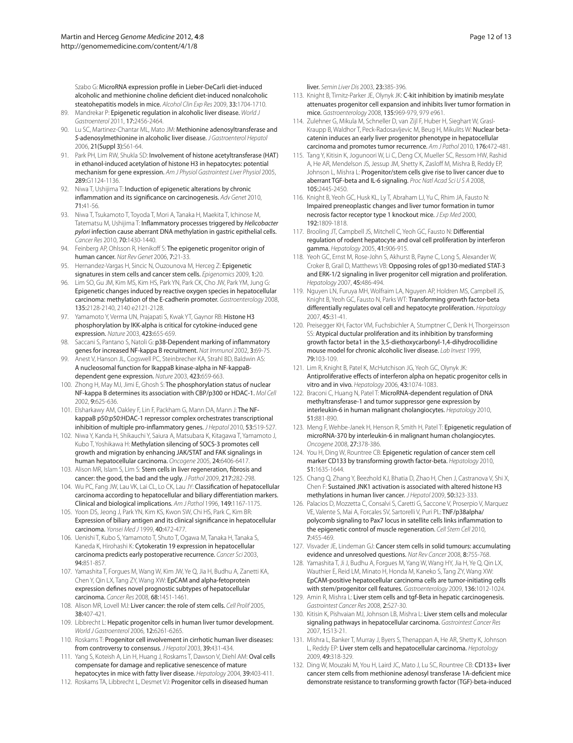Szabo G: MicroRNA expression profile in Lieber-DeCarli diet-induced alcoholic and methionine choline deficient diet-induced nonalcoholic steatohepatitis models in mice. *Alcohol Clin Exp Res* 2009, 33:1704-1710.

- 89. Mandrekar P: Epigenetic regulation in alcoholic liver disease. *World J Gastroenterol* 2011, 17:2456-2464.
- 90. Lu SC, Martinez-Chantar ML, Mato JM: Methionine adenosyltransferase and *S*-adenosylmethionine in alcoholic liver disease. *J Gastroenterol Hepatol*  2006, 21(Suppl 3):S61-64.
- 91. Park PH, Lim RW, Shukla SD: Involvement of histone acetyltransferase (HAT) in ethanol-induced acetylation of histone H3 in hepatocytes: potential mechanism for gene expression. *Am J Physiol Gastrointest Liver Physiol* 2005, 289:G1124-1136.
- 92. Niwa T, Ushijima T: Induction of epigenetic alterations by chronic inflammation and its significance on carcinogenesis. *Adv Genet* 2010, 71:41-56.
- 93. Niwa T, Tsukamoto T, Toyoda T, Mori A, Tanaka H, Maekita T, Ichinose M, Tatematsu M, Ushijima T: Inflammatory processes triggered by *Helicobacter pylori* infection cause aberrant DNA methylation in gastric epithelial cells. *Cancer Res* 2010, 70:1430-1440.
- 94. Feinberg AP, Ohlsson R, Henikoff S: The epigenetic progenitor origin of human cancer. *Nat Rev Genet* 2006, 7:21-33.
- 95. Hernandez-Vargas H, Sincic N, Ouzounova M, Herceg Z: Epigenetic signatures in stem cells and cancer stem cells. *Epigenomics* 2009, 1:20.
- 96. Lim SO, Gu JM, Kim MS, Kim HS, Park YN, Park CK, Cho JW, Park YM, Jung G: Epigenetic changes induced by reactive oxygen species in hepatocellular carcinoma: methylation of the E-cadherin promoter. *Gastroenterology* 2008, 135:2128-2140, 2140 e2121-2128.
- 97. Yamamoto Y, Verma UN, Prajapati S, Kwak YT, Gaynor RB: Histone H3 phosphorylation by IKK-alpha is critical for cytokine-induced gene expression. *Nature* 2003, 423:655-659.
- 98. Saccani S, Pantano S, Natoli G: p38-Dependent marking of inflammatory genes for increased NF-kappa B recruitment. *Nat Immunol* 2002, 3:69-75.
- 99. Anest V, Hanson JL, Cogswell PC, Steinbrecher KA, Strahl BD, Baldwin AS: A nucleosomal function for IkappaB kinase-alpha in NF-kappaBdependent gene expression. *Nature* 2003, 423:659-663.
- 100. Zhong H, May MJ, Jimi E, Ghosh S: The phosphorylation status of nuclear NF-kappa B determines its association with CBP/p300 or HDAC-1. *Mol Cell*  2002, 9:625-636.
- 101. Elsharkawy AM, Oakley F, Lin F, Packham G, Mann DA, Mann J: The NFkappaB p50:p50:HDAC-1 repressor complex orchestrates transcriptional inhibition of multiple pro-inflammatory genes. *J Hepatol* 2010, 53:519-527.
- 102. Niwa Y, Kanda H, Shikauchi Y, Saiura A, Matsubara K, Kitagawa T, Yamamoto J, Kubo T, Yoshikawa H: Methylation silencing of SOCS-3 promotes cell growth and migration by enhancing JAK/STAT and FAK signalings in human hepatocellular carcinoma. *Oncogene* 2005, 24:6406-6417.
- 103. Alison MR, Islam S, Lim S: Stem cells in liver regeneration, fibrosis and cancer: the good, the bad and the ugly. *J Pathol* 2009, 217:282-298.
- 104. Wu PC, Fang JW, Lau VK, Lai CL, Lo CK, Lau JY: Classification of hepatocellular carcinoma according to hepatocellular and biliary differentiation markers. Clinical and biological implications. *Am J Pathol* 1996, 149:1167-1175.
- 105. Yoon DS, Jeong J, Park YN, Kim KS, Kwon SW, Chi HS, Park C, Kim BR: Expression of biliary antigen and its clinical significance in hepatocellular carcinoma. *Yonsei Med J* 1999, 40:472-477.
- 106. Uenishi T, Kubo S, Yamamoto T, Shuto T, Ogawa M, Tanaka H, Tanaka S, Kaneda K, Hirohashi K: Cytokeratin 19 expression in hepatocellular carcinoma predicts early postoperative recurrence. *Cancer Sci* 2003, 94:851-857.
- 107. Yamashita T, Forgues M, Wang W, Kim JW, Ye Q, Jia H, Budhu A, Zanetti KA, Chen Y, Qin LX, Tang ZY, Wang XW: EpCAM and alpha-fetoprotein expression defines novel prognostic subtypes of hepatocellular carcinoma. *Cancer Res* 2008, 68:1451-1461.
- 108. Alison MR, Lovell MJ: Liver cancer: the role of stem cells. *Cell Prolif* 2005, 38:407-421.
- 109. Libbrecht L: Hepatic progenitor cells in human liver tumor development. *World J Gastroenterol* 2006, 12:6261-6265.
- 110. Roskams T: Progenitor cell involvement in cirrhotic human liver diseases: from controversy to consensus. *J Hepatol* 2003, 39:431-434.
- 111. Yang S, Koteish A, Lin H, Huang J, Roskams T, Dawson V, Diehl AM: Oval cells compensate for damage and replicative senescence of mature hepatocytes in mice with fatty liver disease. *Hepatology* 2004, 39:403-411.
- 112. Roskams TA, Libbrecht L, Desmet VJ: Progenitor cells in diseased human

liver. *Semin Liver Dis* 2003, 23:385-396.

- 113. Knight B, Tirnitz-Parker JE, Olynyk JK: C-kit inhibition by imatinib mesylate attenuates progenitor cell expansion and inhibits liver tumor formation in mice. *Gastroenterology* 2008, 135:969-979, 979 e961.
- 114. Zulehner G, Mikula M, Schneller D, van Zijl F, Huber H, Sieghart W, Grasl-Kraupp B, Waldhor T, Peck-Radosavljevic M, Beug H, Mikulits W: Nuclear betacatenin induces an early liver progenitor phenotype in hepatocellular carcinoma and promotes tumor recurrence. *Am J Pathol* 2010, 176:472-481.
- 115. Tang Y, Kitisin K, Jogunoori W, Li C, Deng CX, Mueller SC, Ressom HW, Rashid A, He AR, Mendelson JS, Jessup JM, Shetty K, Zasloff M, Mishra B, Reddy EP, Johnson L, Mishra L: Progenitor/stem cells give rise to liver cancer due to aberrant TGF-beta and IL-6 signaling. *Proc Natl Acad Sci U S A* 2008, 105:2445-2450.
- 116. Knight B, Yeoh GC, Husk KL, Ly T, Abraham LJ, Yu C, Rhim JA, Fausto N: Impaired preneoplastic changes and liver tumor formation in tumor necrosis factor receptor type 1 knockout mice. *J Exp Med* 2000, 192:1809-1818.
- 117. Brooling JT, Campbell JS, Mitchell C, Yeoh GC, Fausto N: Differential regulation of rodent hepatocyte and oval cell proliferation by interferon gamma. *Hepatology* 2005, 41:906-915.
- 118. Yeoh GC, Ernst M, Rose-John S, Akhurst B, Payne C, Long S, Alexander W, Croker B, Grail D, Matthews VB: Opposing roles of gp130-mediated STAT-3 and ERK-1/2 signaling in liver progenitor cell migration and proliferation. *Hepatology* 2007, 45:486-494.
- 119. Nguyen LN, Furuya MH, Wolfraim LA, Nguyen AP, Holdren MS, Campbell JS, Knight B, Yeoh GC, Fausto N, Parks WT: Transforming growth factor-beta differentially regulates oval cell and hepatocyte proliferation. *Hepatology*  2007, 45:31-41.
- 120. Preisegger KH, Factor VM, Fuchsbichler A, Stumptner C, Denk H, Thorgeirsson SS: Atypical ductular proliferation and its inhibition by transforming growth factor beta1 in the 3,5-diethoxycarbonyl-1,4-dihydrocollidine mouse model for chronic alcoholic liver disease. *Lab Invest* 1999, 79:103-109.
- 121. Lim R, Knight B, Patel K, McHutchison JG, Yeoh GC, Olynyk JK: Antiproliferative effects of interferon alpha on hepatic progenitor cells in vitro and in vivo. *Hepatology* 2006, 43:1074-1083.
- 122. Braconi C, Huang N, Patel T: MicroRNA-dependent regulation of DNA methyltransferase-1 and tumor suppressor gene expression by interleukin-6 in human malignant cholangiocytes. *Hepatology* 2010, 51:881-890.
- 123. Meng F, Wehbe-Janek H, Henson R, Smith H, Patel T: Epigenetic regulation of microRNA-370 by interleukin-6 in malignant human cholangiocytes. *Oncogene* 2008, 27:378-386.
- 124. You H, Ding W, Rountree CB: Epigenetic regulation of cancer stem cell marker CD133 by transforming growth factor-beta. *Hepatology* 2010, 51:1635-1644.
- 125. Chang Q, Zhang Y, Beezhold KJ, Bhatia D, Zhao H, Chen J, Castranova V, Shi X, Chen F: Sustained JNK1 activation is associated with altered histone H3 methylations in human liver cancer. *J Hepatol* 2009, 50:323-333.
- 126. Palacios D, Mozzetta C, Consalvi S, Caretti G, Saccone V, Proserpio V, Marquez VE, Valente S, Mai A, Forcales SV, Sartorelli V, Puri PL: TNF/p38alpha/ polycomb signaling to Pax7 locus in satellite cells links inflammation to the epigenetic control of muscle regeneration. *Cell Stem Cell* 2010, 7:455-469.
- 127. Visvader JE, Lindeman GJ: Cancer stem cells in solid tumours: accumulating evidence and unresolved questions. *Nat Rev Cancer* 2008, 8:755-768.

128. Yamashita T, Ji J, Budhu A, Forgues M, Yang W, Wang HY, Jia H, Ye Q, Qin LX, Wauthier E, Reid LM, Minato H, Honda M, Kaneko S, Tang ZY, Wang XW: EpCAM-positive hepatocellular carcinoma cells are tumor-initiating cells with stem/progenitor cell features. *Gastroenterology* 2009, 136:1012-1024.

- 129. Amin R, Mishra L: Liver stem cells and tgf-Beta in hepatic carcinogenesis. *Gastrointest Cancer Res* 2008, 2:S27-30.
- 130. Kitisin K, Pishvaian MJ, Johnson LB, Mishra L: Liver stem cells and molecular signaling pathways in hepatocellular carcinoma. *Gastrointest Cancer Res*  2007, 1:S13-21.
- 131. Mishra L, Banker T, Murray J, Byers S, Thenappan A, He AR, Shetty K, Johnson L, Reddy EP: Liver stem cells and hepatocellular carcinoma. *Hepatology*  2009, 49:318-329.
- 132. Ding W, Mouzaki M, You H, Laird JC, Mato J, Lu SC, Rountree CB: CD133+ liver cancer stem cells from methionine adenosyl transferase 1A-deficient mice demonstrate resistance to transforming growth factor (TGF)-beta-induced